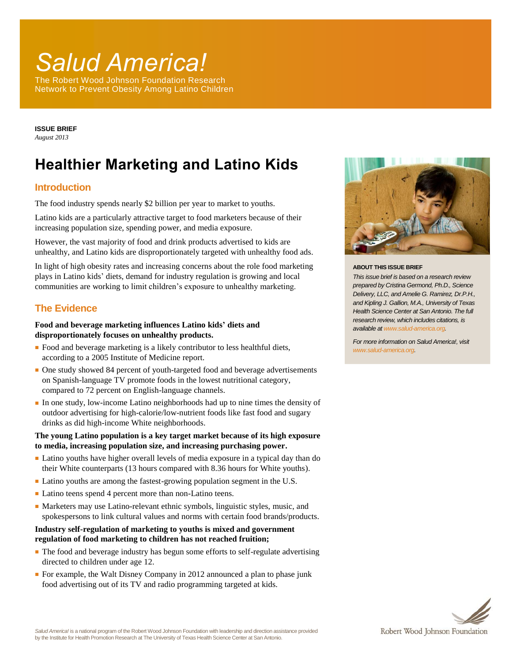# *Salud America!*

The Robert Wood Johnson Foundation Research Network to Prevent Obesity Among Latino Children

**ISSUE BRIEF** *August 2013*

# **Healthier Marketing and Latino Kids**

### **Introduction**

The food industry spends nearly \$2 billion per year to market to youths.

Latino kids are a particularly attractive target to food marketers because of their increasing population size, spending power, and media exposure.

However, the vast majority of food and drink products advertised to kids are unhealthy, and Latino kids are disproportionately targeted with unhealthy food ads.

In light of high obesity rates and increasing concerns about the role food marketing plays in Latino kids' diets, demand for industry regulation is growing and local communities are working to limit children's exposure to unhealthy marketing.

## **The Evidence**

#### **Food and beverage marketing influences Latino kids' diets and disproportionately focuses on unhealthy products.**

- Food and beverage marketing is a likely contributor to less healthful diets, according to a 2005 Institute of Medicine report.
- One study showed 84 percent of youth-targeted food and beverage advertisements on Spanish-language TV promote foods in the lowest nutritional category, compared to 72 percent on English-language channels.
- In one study, low-income Latino neighborhoods had up to nine times the density of outdoor advertising for high-calorie/low-nutrient foods like fast food and sugary drinks as did high-income White neighborhoods.

#### **The young Latino population is a key target market because of its high exposure to media, increasing population size, and increasing purchasing power.**

- Latino youths have higher overall levels of media exposure in a typical day than do their White counterparts (13 hours compared with 8.36 hours for White youths).
- Latino youths are among the fastest-growing population segment in the U.S.
- Latino teens spend 4 percent more than non-Latino teens.
- Marketers may use Latino-relevant ethnic symbols, linguistic styles, music, and spokespersons to link cultural values and norms with certain food brands/products.

#### **Industry self-regulation of marketing to youths is mixed and government regulation of food marketing to children has not reached fruition;**

- The food and beverage industry has begun some efforts to self-regulate advertising directed to children under age 12.
- For example, the Walt Disney Company in 2012 announced a plan to phase junk food advertising out of its TV and radio programming targeted at kids.



#### **ABOUT THIS ISSUE BRIEF**

*This issue brief is based on a research review prepared by Cristina Germond, Ph.D., Science Delivery, LLC, and Amelie G. Ramirez, Dr.P.H., and Kipling J. Gallion, M.A., University of Texas Health Science Center at San Antonio. The full research review, which includes citations, is available a[t www.salud-america.org.](http://www.salud-america.org/)* 

*For more information on Salud America!, visit [www.salud-america.org.](http://www.salud-america.org/)*